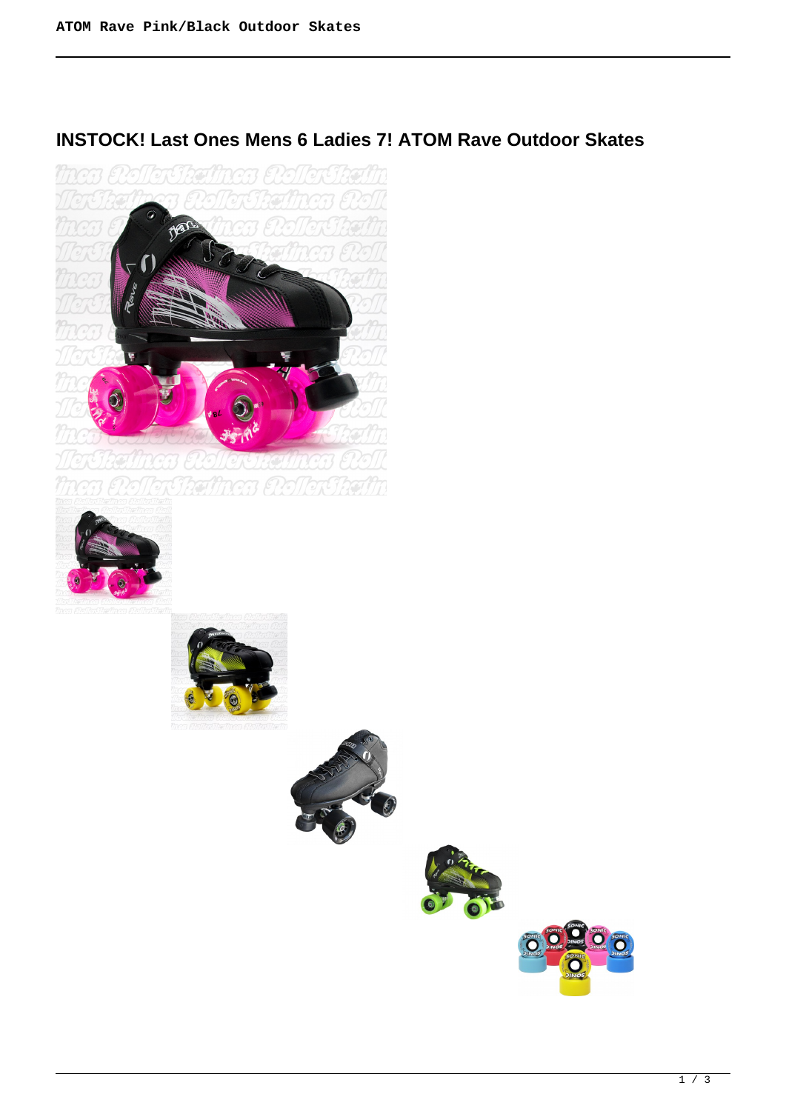# **INSTOCK! Last Ones Mens 6 Ladies 7! ATOM Rave Outdoor Skates**







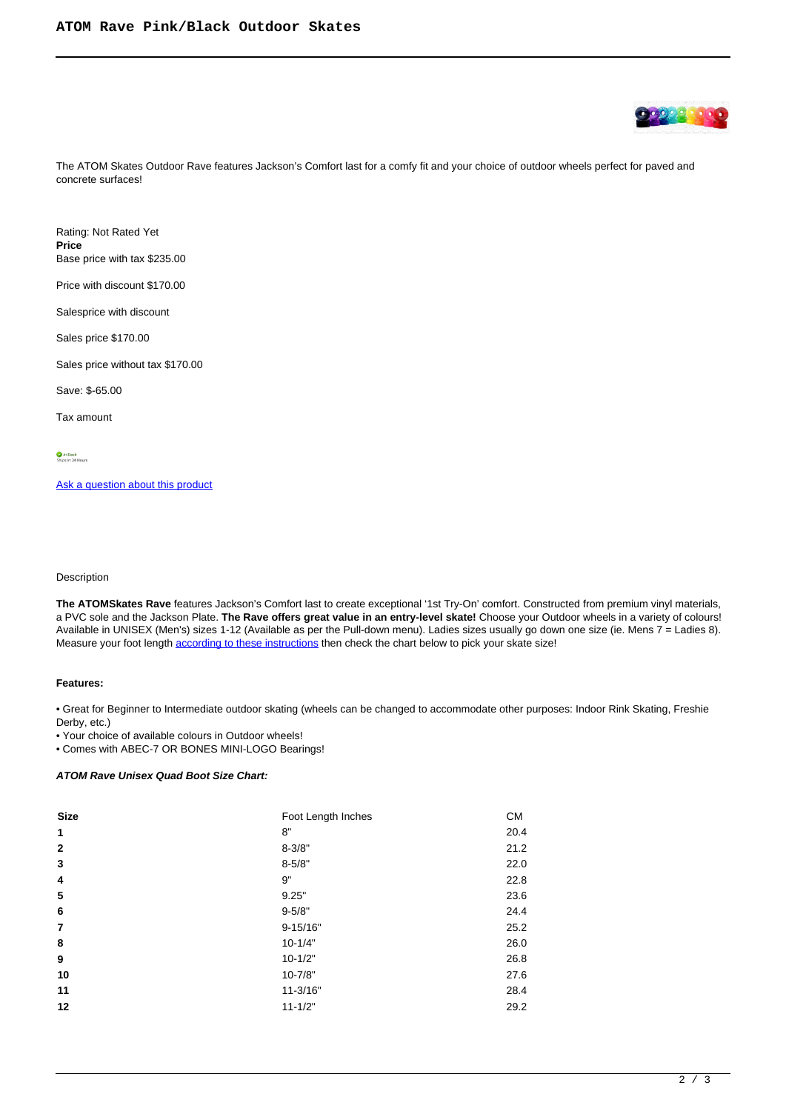

The ATOM Skates Outdoor Rave features Jackson's Comfort last for a comfy fit and your choice of outdoor wheels perfect for paved and concrete surfaces!

Rating: Not Rated Yet **Price**  Base price with tax \$235.00

Price with discount \$170.00

Salesprice with discount

Sales price \$170.00

Sales price without tax \$170.00

Save: \$-65.00

Tax amount

[Ask a question about this product](https://rollerskatin.ca/index.php?option=com_virtuemart&view=productdetails&task=askquestion&virtuemart_product_id=1058&virtuemart_category_id=28&tmpl=component)

#### Description

**The ATOMSkates Rave** features Jackson's Comfort last to create exceptional '1st Try-On' comfort. Constructed from premium vinyl materials, a PVC sole and the Jackson Plate. **The Rave offers great value in an entry-level skate!** Choose your Outdoor wheels in a variety of colours! Available in UNISEX (Men's) sizes 1-12 (Available as per the Pull-down menu). Ladies sizes usually go down one size (ie. Mens 7 = Ladies 8). Measure your foot length [according to these instructions](https://www.liveabout.com/how-to-measure-your-feet-2987812) then check the chart below to pick your skate size!

#### **Features:**

• Great for Beginner to Intermediate outdoor skating (wheels can be changed to accommodate other purposes: Indoor Rink Skating, Freshie Derby, etc.)

• Your choice of available colours in Outdoor wheels!

• Comes with ABEC-7 OR BONES MINI-LOGO Bearings!

### **ATOM Rave Unisex Quad Boot Size Chart:**

| <b>Size</b>  | Foot Length Inches | <b>CM</b> |
|--------------|--------------------|-----------|
| 1            | 8"                 | 20.4      |
| $\mathbf{2}$ | $8 - 3/8"$         | 21.2      |
| 3            | $8 - 5/8"$         | 22.0      |
| 4            | 9"                 | 22.8      |
| 5            | 9.25"              | 23.6      |
| 6            | $9 - 5/8"$         | 24.4      |
| 7            | $9 - 15/16"$       | 25.2      |
| 8            | $10 - 1/4"$        | 26.0      |
| 9            | $10 - 1/2"$        | 26.8      |
| 10           | $10 - 7/8"$        | 27.6      |
| 11           | $11 - 3/16"$       | 28.4      |
| 12           | $11 - 1/2"$        | 29.2      |